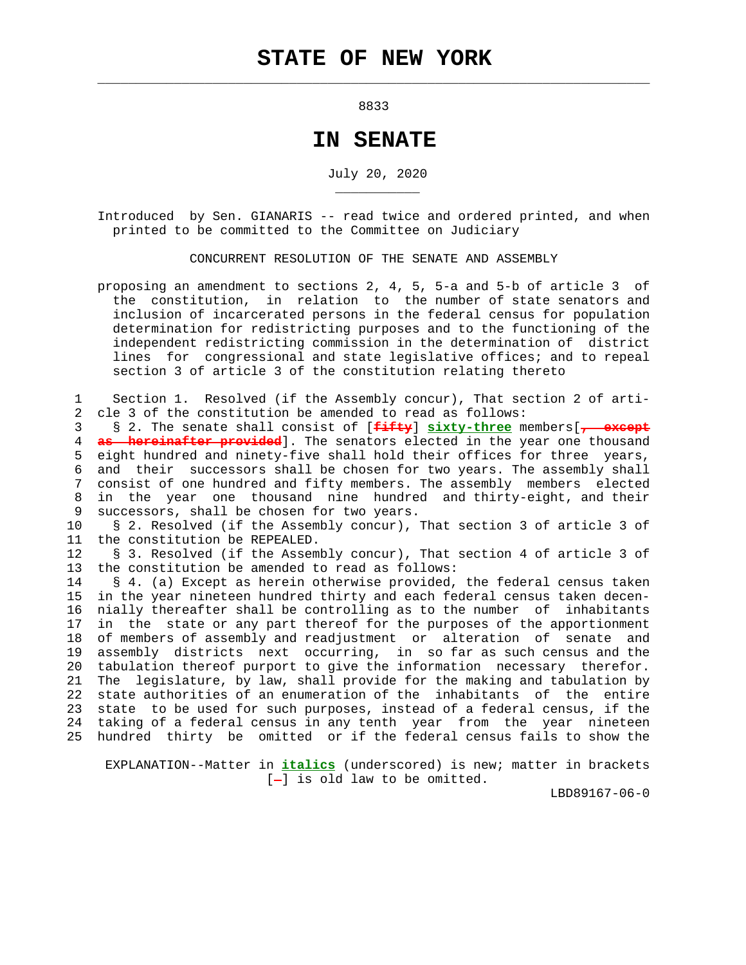$\mathcal{L}_\text{max} = \frac{1}{2} \sum_{i=1}^{n} \frac{1}{2} \sum_{i=1}^{n} \frac{1}{2} \sum_{i=1}^{n} \frac{1}{2} \sum_{i=1}^{n} \frac{1}{2} \sum_{i=1}^{n} \frac{1}{2} \sum_{i=1}^{n} \frac{1}{2} \sum_{i=1}^{n} \frac{1}{2} \sum_{i=1}^{n} \frac{1}{2} \sum_{i=1}^{n} \frac{1}{2} \sum_{i=1}^{n} \frac{1}{2} \sum_{i=1}^{n} \frac{1}{2} \sum_{i=1}^{n} \frac{1$ 

\_\_\_\_\_\_\_\_\_\_\_

<u>8833</u>

## **IN SENATE**

July 20, 2020

 Introduced by Sen. GIANARIS -- read twice and ordered printed, and when printed to be committed to the Committee on Judiciary

CONCURRENT RESOLUTION OF THE SENATE AND ASSEMBLY

 proposing an amendment to sections 2, 4, 5, 5-a and 5-b of article 3 of the constitution, in relation to the number of state senators and inclusion of incarcerated persons in the federal census for population determination for redistricting purposes and to the functioning of the independent redistricting commission in the determination of district lines for congressional and state legislative offices; and to repeal section 3 of article 3 of the constitution relating thereto

 1 Section 1. Resolved (if the Assembly concur), That section 2 of arti- 2 cle 3 of the constitution be amended to read as follows:

 3 § 2. The senate shall consist of [**fifty**] **sixty-three** members[**, except** 4 **as hereinafter provided**]. The senators elected in the year one thousand 5 eight hundred and ninety-five shall hold their offices for three years, 6 and their successors shall be chosen for two years. The assembly shall 7 consist of one hundred and fifty members. The assembly members elected 8 in the year one thousand nine hundred and thirty-eight, and their 9 successors, shall be chosen for two years.

 10 § 2. Resolved (if the Assembly concur), That section 3 of article 3 of 11 the constitution be REPEALED.

 12 § 3. Resolved (if the Assembly concur), That section 4 of article 3 of 13 the constitution be amended to read as follows:

14 § 4. (a) Except as herein otherwise provided, the federal census taken 15 in the year nineteen hundred thirty and each federal census taken decen- 16 nially thereafter shall be controlling as to the number of inhabitants 17 in the state or any part thereof for the purposes of the apportionment 18 of members of assembly and readjustment or alteration of senate and 19 assembly districts next occurring, in so far as such census and the 20 tabulation thereof purport to give the information necessary therefor. 21 The legislature, by law, shall provide for the making and tabulation by 22 state authorities of an enumeration of the inhabitants of the entire 23 state to be used for such purposes, instead of a federal census, if the 24 taking of a federal census in any tenth year from the year nineteen 25 hundred thirty be omitted or if the federal census fails to show the

 EXPLANATION--Matter in **italics** (underscored) is new; matter in brackets  $[-]$  is old law to be omitted.

LBD89167-06-0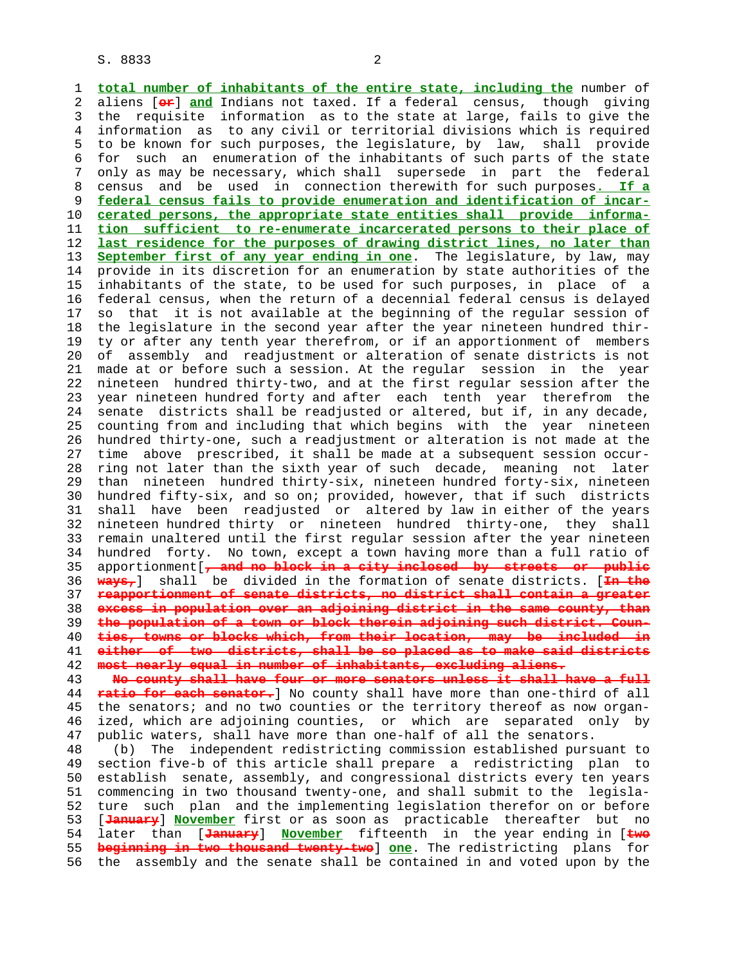1 **total number of inhabitants of the entire state, including the** number of 2 aliens [**or**] **and** Indians not taxed. If a federal census, though giving 3 the requisite information as to the state at large, fails to give the 4 information as to any civil or territorial divisions which is required 5 to be known for such purposes, the legislature, by law, shall provide 6 for such an enumeration of the inhabitants of such parts of the state 7 only as may be necessary, which shall supersede in part the federal 8 census and be used in connection therewith for such purposes**. If a** 9 **federal census fails to provide enumeration and identification of incar-** 10 **cerated persons, the appropriate state entities shall provide informa-** 11 **tion sufficient to re-enumerate incarcerated persons to their place of** 12 **last residence for the purposes of drawing district lines, no later than** 13 **September first of any year ending in one**. The legislature, by law, may 14 provide in its discretion for an enumeration by state authorities of the 15 inhabitants of the state, to be used for such purposes, in place of a 16 federal census, when the return of a decennial federal census is delayed 17 so that it is not available at the beginning of the regular session of 18 the legislature in the second year after the year nineteen hundred thir- 19 ty or after any tenth year therefrom, or if an apportionment of members 20 of assembly and readjustment or alteration of senate districts is not 21 made at or before such a session. At the regular session in the year 22 nineteen hundred thirty-two, and at the first regular session after the 23 year nineteen hundred forty and after each tenth year therefrom the 24 senate districts shall be readjusted or altered, but if, in any decade, 25 counting from and including that which begins with the year nineteen 26 hundred thirty-one, such a readjustment or alteration is not made at the 27 time above prescribed, it shall be made at a subsequent session occur- 28 ring not later than the sixth year of such decade, meaning not later 29 than nineteen hundred thirty-six, nineteen hundred forty-six, nineteen 30 hundred fifty-six, and so on; provided, however, that if such districts 31 shall have been readjusted or altered by law in either of the years 32 nineteen hundred thirty or nineteen hundred thirty-one, they shall 33 remain unaltered until the first regular session after the year nineteen 34 hundred forty. No town, except a town having more than a full ratio of<br>35 apportionment[<del>, and no block in a city inclosed by streets or public</del> apportionment [, and no block in a city inclosed by streets or public 36 **ways,**] shall be divided in the formation of senate districts. [**In the** 37 **reapportionment of senate districts, no district shall contain a greater** 38 **excess in population over an adjoining district in the same county, than** 39 **the population of a town or block therein adjoining such district. Coun-** 40 **ties, towns or blocks which, from their location, may be included in** 41 **either of two districts, shall be so placed as to make said districts** 42 **most nearly equal in number of inhabitants, excluding aliens.**

 43 **No county shall have four or more senators unless it shall have a full** 44 **ratio for each senator.**] No county shall have more than one-third of all 45 the senators; and no two counties or the territory thereof as now organ- 46 ized, which are adjoining counties, or which are separated only by 47 public waters, shall have more than one-half of all the senators.

 48 (b) The independent redistricting commission established pursuant to 49 section five-b of this article shall prepare a redistricting plan to 50 establish senate, assembly, and congressional districts every ten years 51 commencing in two thousand twenty-one, and shall submit to the legisla- 52 ture such plan and the implementing legislation therefor on or before 53 [**January**] **November** first or as soon as practicable thereafter but no 54 later than [**January**] **November** fifteenth in the year ending in [**two** 55 **beginning in two thousand twenty-two**] **one**. The redistricting plans for 56 the assembly and the senate shall be contained in and voted upon by the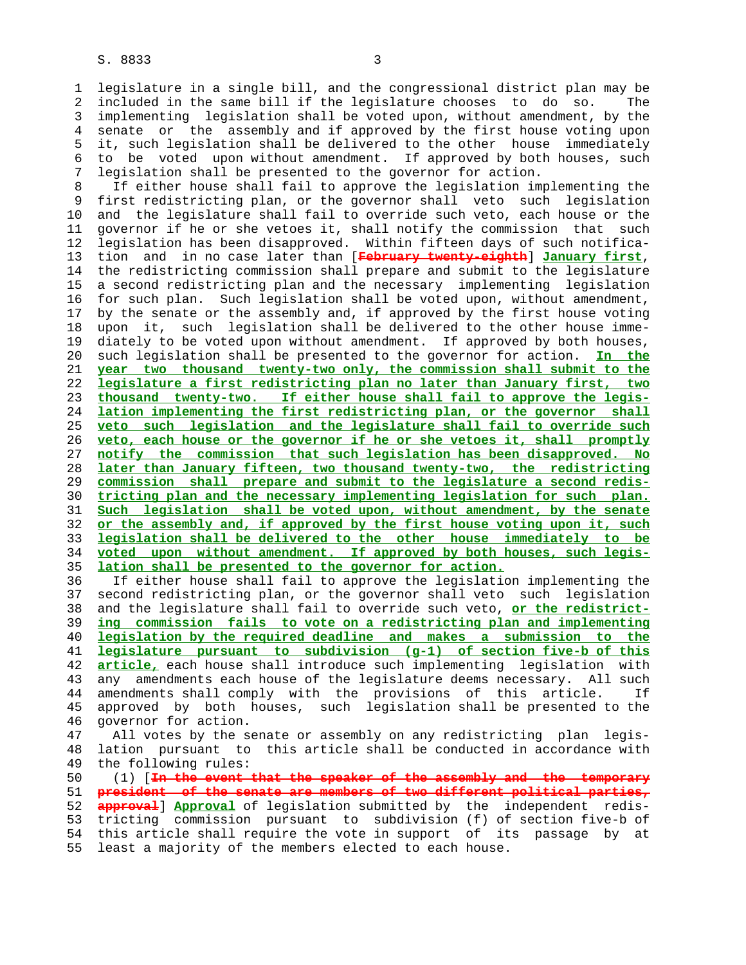1 legislature in a single bill, and the congressional district plan may be 2 included in the same bill if the legislature chooses to do so. The 3 implementing legislation shall be voted upon, without amendment, by the 4 senate or the assembly and if approved by the first house voting upon 5 it, such legislation shall be delivered to the other house immediately 6 to be voted upon without amendment. If approved by both houses, such 7 legislation shall be presented to the governor for action.

 8 If either house shall fail to approve the legislation implementing the first redistricting plan, or the governor shall veto such legislation 10 and the legislature shall fail to override such veto, each house or the 11 governor if he or she vetoes it, shall notify the commission that such 12 legislation has been disapproved. Within fifteen days of such notifica- 13 tion and in no case later than [**February twenty-eighth**] **January first**, 14 the redistricting commission shall prepare and submit to the legislature 15 a second redistricting plan and the necessary implementing legislation 16 for such plan. Such legislation shall be voted upon, without amendment, 17 by the senate or the assembly and, if approved by the first house voting 18 upon it, such legislation shall be delivered to the other house imme- 19 diately to be voted upon without amendment. If approved by both houses, 20 such legislation shall be presented to the governor for action. **In the** 21 **year two thousand twenty-two only, the commission shall submit to the** 22 **legislature a first redistricting plan no later than January first, two** 23 **thousand twenty-two. If either house shall fail to approve the legis-** 24 **lation implementing the first redistricting plan, or the governor shall** 25 **veto such legislation and the legislature shall fail to override such** 26 **veto, each house or the governor if he or she vetoes it, shall promptly** 27 **notify the commission that such legislation has been disapproved. No** 28 **later than January fifteen, two thousand twenty-two, the redistricting** 29 **commission shall prepare and submit to the legislature a second redis-** 30 **tricting plan and the necessary implementing legislation for such plan.** 31 **Such legislation shall be voted upon, without amendment, by the senate** 32 **or the assembly and, if approved by the first house voting upon it, such** 33 **legislation shall be delivered to the other house immediately to be** 34 **voted upon without amendment. If approved by both houses, such legis-** 35 **lation shall be presented to the governor for action.**

 36 If either house shall fail to approve the legislation implementing the 37 second redistricting plan, or the governor shall veto such legislation 38 and the legislature shall fail to override such veto, **or the redistrict-** 39 **ing commission fails to vote on a redistricting plan and implementing** 40 **legislation by the required deadline and makes a submission to the** 41 **legislature pursuant to subdivision (g-1) of section five-b of this** 42 **article,** each house shall introduce such implementing legislation with 43 any amendments each house of the legislature deems necessary. All such 44 amendments shall comply with the provisions of this article. If 45 approved by both houses, such legislation shall be presented to the 46 governor for action.

 47 All votes by the senate or assembly on any redistricting plan legis- 48 lation pursuant to this article shall be conducted in accordance with 49 the following rules:

 50 (1) [**In the event that the speaker of the assembly and the temporary** 51 **president of the senate are members of two different political parties,** 52 **approval**] **Approval** of legislation submitted by the independent redis- 53 tricting commission pursuant to subdivision (f) of section five-b of 54 this article shall require the vote in support of its passage by at 55 least a majority of the members elected to each house.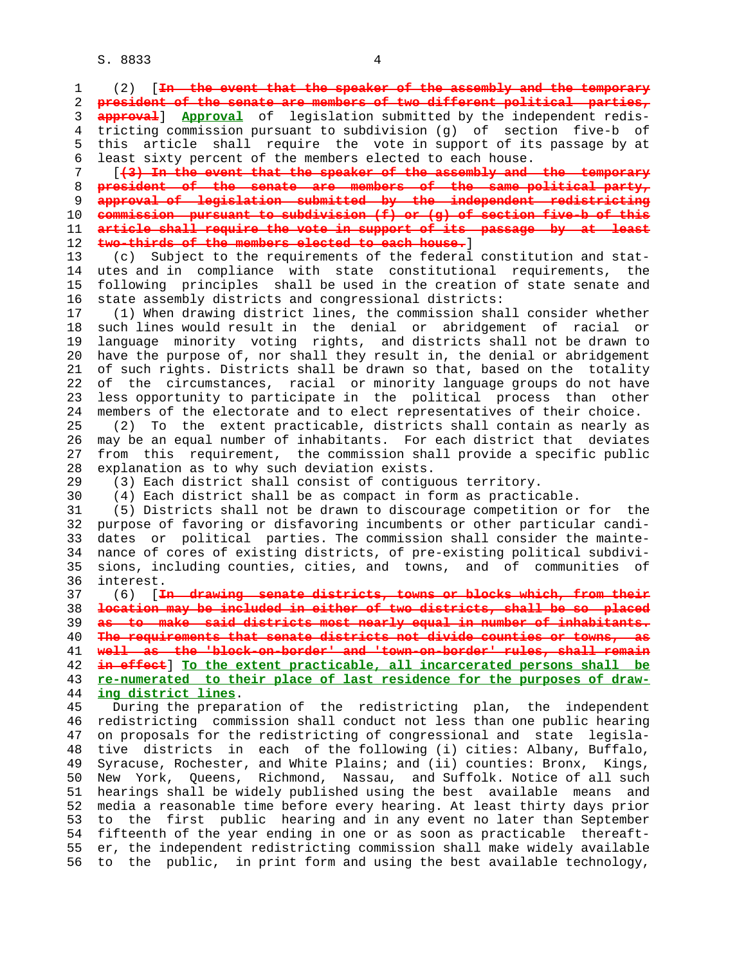S. 8833 4

 1 (2) [**In the event that the speaker of the assembly and the temporary** 2 **president of the senate are members of two different political parties,** 3 **approval**] **Approval** of legislation submitted by the independent redis- 4 tricting commission pursuant to subdivision (g) of section five-b of 5 this article shall require the vote in support of its passage by at 6 least sixty percent of the members elected to each house. 7 [**(3) In the event that the speaker of the assembly and the temporary** 8 **president of the senate are members of the same political party,** 9 **approval of legislation submitted by the independent redistricting** 10 **commission pursuant to subdivision (f) or (g) of section five-b of this** 11 **article shall require the vote in support of its passage by at least** 12 **two-thirds of the members elected to each house.**] 13 (c) Subject to the requirements of the federal constitution and stat- 14 utes and in compliance with state constitutional requirements, the 15 following principles shall be used in the creation of state senate and 16 state assembly districts and congressional districts: 17 (1) When drawing district lines, the commission shall consider whether 18 such lines would result in the denial or abridgement of racial or 19 language minority voting rights, and districts shall not be drawn to 20 have the purpose of, nor shall they result in, the denial or abridgement 21 of such rights. Districts shall be drawn so that, based on the totality 22 of the circumstances, racial or minority language groups do not have 23 less opportunity to participate in the political process than other 24 members of the electorate and to elect representatives of their choice. 25 (2) To the extent practicable, districts shall contain as nearly as 26 may be an equal number of inhabitants. For each district that deviates 27 from this requirement, the commission shall provide a specific public 28 explanation as to why such deviation exists. 29 (3) Each district shall consist of contiguous territory. 30 (4) Each district shall be as compact in form as practicable. 31 (5) Districts shall not be drawn to discourage competition or for the 32 purpose of favoring or disfavoring incumbents or other particular candi- 33 dates or political parties. The commission shall consider the mainte- 34 nance of cores of existing districts, of pre-existing political subdivi- 35 sions, including counties, cities, and towns, and of communities of 36 interest. 37 (6) [**In drawing senate districts, towns or blocks which, from their** 38 **location may be included in either of two districts, shall be so placed** 39 **as to make said districts most nearly equal in number of inhabitants.** 40 **The requirements that senate districts not divide counties or towns, as** 41 **well as the 'block-on-border' and 'town-on-border' rules, shall remain** 42 **in effect**] **To the extent practicable, all incarcerated persons shall be** 43 **re-numerated to their place of last residence for the purposes of draw-** 44 **ing district lines**. 45 During the preparation of the redistricting plan, the independent 46 redistricting commission shall conduct not less than one public hearing 47 on proposals for the redistricting of congressional and state legisla- 48 tive districts in each of the following (i) cities: Albany, Buffalo, 49 Syracuse, Rochester, and White Plains; and (ii) counties: Bronx, Kings, 50 New York, Queens, Richmond, Nassau, and Suffolk. Notice of all such 51 hearings shall be widely published using the best available means and 52 media a reasonable time before every hearing. At least thirty days prior 53 to the first public hearing and in any event no later than September 54 fifteenth of the year ending in one or as soon as practicable thereaft- 55 er, the independent redistricting commission shall make widely available 56 to the public, in print form and using the best available technology,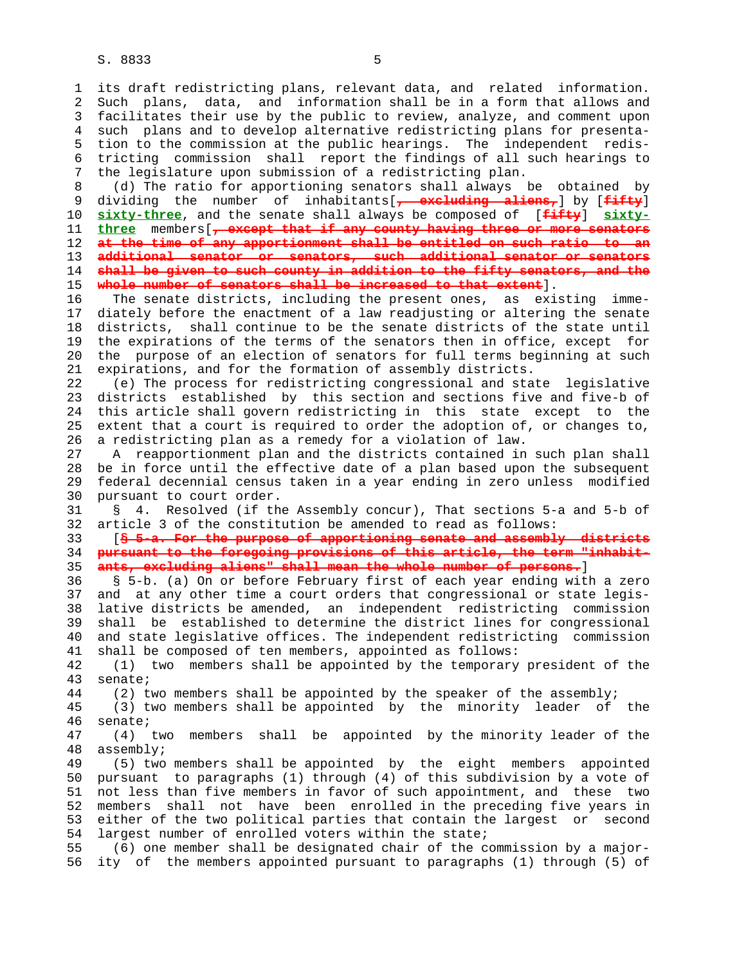1 its draft redistricting plans, relevant data, and related information. 2 Such plans, data, and information shall be in a form that allows and 3 facilitates their use by the public to review, analyze, and comment upon 4 such plans and to develop alternative redistricting plans for presenta- 5 tion to the commission at the public hearings. The independent redis- 6 tricting commission shall report the findings of all such hearings to 7 the legislature upon submission of a redistricting plan.

8 (d) The ratio for apportioning senators shall always be obtained by<br>9 dividing the number of inhabitants[<del>, excluding aliens,</del>] by [<del>fifty</del>] 9 dividing the number of inhabitants[**, excluding aliens,**] by [**fifty**] **sixty-three**, and the senate shall always be composed of [**fifty**] **sixty- three** members[**, except that if any county having three or more senators at the time of any apportionment shall be entitled on such ratio to an additional senator or senators, such additional senator or senators shall be given to such county in addition to the fifty senators, and the whole number of senators shall be increased to that extent**].

 16 The senate districts, including the present ones, as existing imme- 17 diately before the enactment of a law readjusting or altering the senate 18 districts, shall continue to be the senate districts of the state until 19 the expirations of the terms of the senators then in office, except for 20 the purpose of an election of senators for full terms beginning at such 21 expirations, and for the formation of assembly districts.

 22 (e) The process for redistricting congressional and state legislative 23 districts established by this section and sections five and five-b of 24 this article shall govern redistricting in this state except to the 25 extent that a court is required to order the adoption of, or changes to, 26 a redistricting plan as a remedy for a violation of law.

 27 A reapportionment plan and the districts contained in such plan shall 28 be in force until the effective date of a plan based upon the subsequent 29 federal decennial census taken in a year ending in zero unless modified 30 pursuant to court order.

 31 § 4. Resolved (if the Assembly concur), That sections 5-a and 5-b of 32 article 3 of the constitution be amended to read as follows:

 33 [**§ 5-a. For the purpose of apportioning senate and assembly districts** 34 **pursuant to the foregoing provisions of this article, the term "inhabit-** 35 **ants, excluding aliens" shall mean the whole number of persons.**]

 36 § 5-b. (a) On or before February first of each year ending with a zero 37 and at any other time a court orders that congressional or state legis- 38 lative districts be amended, an independent redistricting commission 39 shall be established to determine the district lines for congressional 40 and state legislative offices. The independent redistricting commission 41 shall be composed of ten members, appointed as follows:

 42 (1) two members shall be appointed by the temporary president of the 43 senate;

44 (2) two members shall be appointed by the speaker of the assembly;

 45 (3) two members shall be appointed by the minority leader of the 46 senate;

 47 (4) two members shall be appointed by the minority leader of the 48 assembly;

 49 (5) two members shall be appointed by the eight members appointed 50 pursuant to paragraphs (1) through (4) of this subdivision by a vote of 51 not less than five members in favor of such appointment, and these two 52 members shall not have been enrolled in the preceding five years in 53 either of the two political parties that contain the largest or second 54 largest number of enrolled voters within the state;

 55 (6) one member shall be designated chair of the commission by a major- 56 ity of the members appointed pursuant to paragraphs (1) through (5) of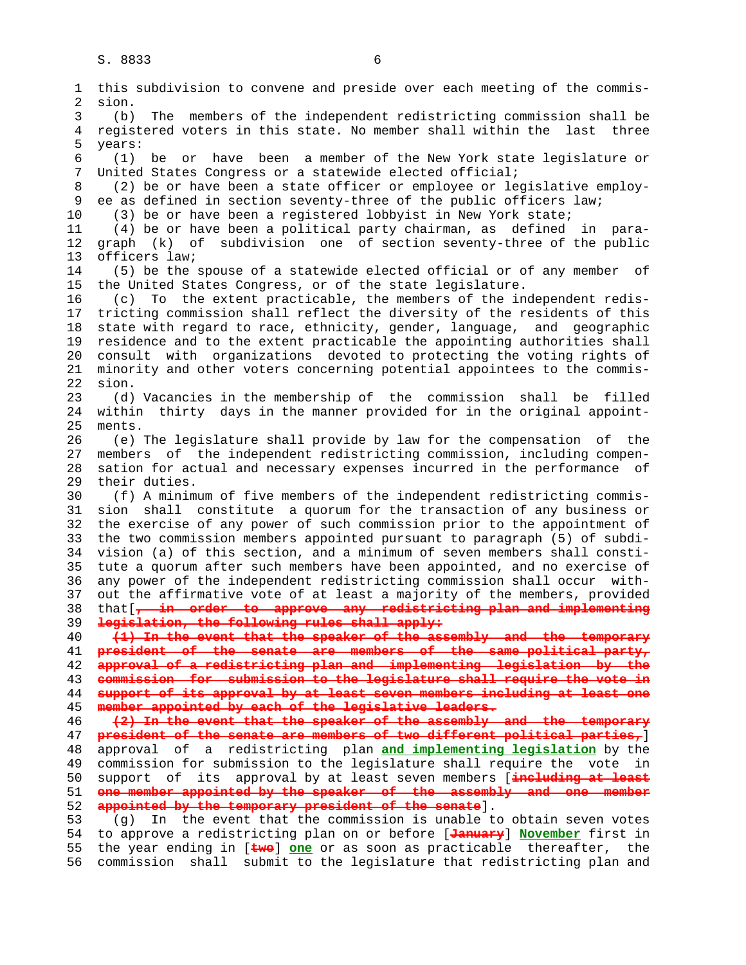| 1              | this subdivision to convene and preside over each meeting of the commis-    |
|----------------|-----------------------------------------------------------------------------|
| $\overline{2}$ | sion.                                                                       |
| 3              | (b)<br>The members of the independent redistricting commission shall be     |
| 4              | registered voters in this state. No member shall within the last three      |
| 5              | years:                                                                      |
| 6              | (1)<br>or have been a member of the New York state legislature or<br>be     |
|                |                                                                             |
| 7              | United States Congress or a statewide elected official;                     |
| 8              | (2) be or have been a state officer or employee or legislative employ-      |
| 9              | ee as defined in section seventy-three of the public officers law;          |
| 10             | (3) be or have been a registered lobbyist in New York state;                |
| 11             | (4) be or have been a political party chairman, as defined<br>in para-      |
| 12             | subdivision one of section seventy-three of the public<br>qraph (k) of      |
| 13             | officers law;                                                               |
| 14             | (5) be the spouse of a statewide elected official or of any member<br>of    |
| 15             | the United States Congress, or of the state legislature.                    |
| 16             | (c) To the extent practicable, the members of the independent redis-        |
|                |                                                                             |
| 17             | tricting commission shall reflect the diversity of the residents of this    |
| 18             | state with regard to race, ethnicity, gender, language, and geographic      |
| 19             | residence and to the extent practicable the appointing authorities shall    |
| 20             | consult with organizations devoted to protecting the voting rights of       |
| 21             | minority and other voters concerning potential appointees to the commis-    |
| 22             | sion.                                                                       |
| 23             | (d) Vacancies in the membership of the commission shall be filled           |
| 24             | within thirty days in the manner provided for in the original appoint-      |
| 25             | ments.                                                                      |
| 26             | (e) The legislature shall provide by law for the compensation of the        |
| 27             | members of the independent redistricting commission, including compen-      |
| 28             | sation for actual and necessary expenses incurred in the performance of     |
| 29             | their duties.                                                               |
|                |                                                                             |
| 30             | (f) A minimum of five members of the independent redistricting commis-      |
| 31             | shall constitute a quorum for the transaction of any business or<br>sion    |
| 32             | the exercise of any power of such commission prior to the appointment of    |
| 33             | the two commission members appointed pursuant to paragraph (5) of subdi-    |
| 34             | vision (a) of this section, and a minimum of seven members shall consti-    |
| 35             | tute a quorum after such members have been appointed, and no exercise of    |
| 36             | any power of the independent redistricting commission shall occur<br>with-  |
| 37             | out the affirmative vote of at least a majority of the members, provided    |
| 38             | that - in order to approve any redistricting plan and implementing          |
| 39             | legislation, the following rules shall apply:                               |
| 40             | (1) In the event that the speaker of the assembly and the temporary         |
| 41             | president of the senate are members of the same political party,            |
| 42             | approval of a redistricting plan and implementing legislation by the        |
| 43             | commission for submission to the legislature shall require the vote in      |
| 44             | support of its approval by at least seven members including at least one    |
| 45             | member appointed by each of the legislative leaders.                        |
| 46             | (2) In the event that the speaker of the assembly and the temporary         |
| 47             | president of the senate are members of two different political parties, [   |
|                | approval of a redistricting plan and implementing legislation by the        |
| 48             |                                                                             |
| 49             | commission for submission to the legislature shall require the vote in      |
| 50             | its approval by at least seven members [including at least<br>of<br>support |
| 51             | one member appointed by the speaker of the assembly and one member          |
| 52             | appointed by the temporary president of the senate].                        |
| 53             | In the event that the commission is unable to obtain seven votes<br>(g)     |
| 54             | to approve a redistricting plan on or before [January] November first in    |
| 55             | the year ending in [two] one or as soon as practicable thereafter, the      |

 55 the year ending in [**two**] **one** or as soon as practicable thereafter, the 56 commission shall submit to the legislature that redistricting plan and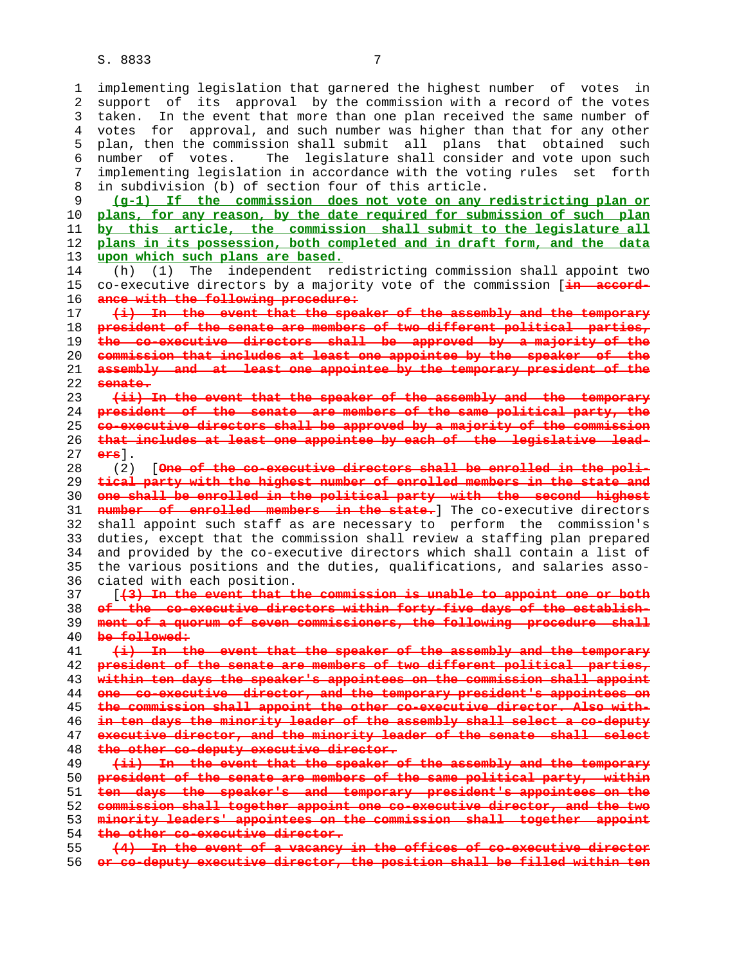S. 8833 7

 1 implementing legislation that garnered the highest number of votes in 2 support of its approval by the commission with a record of the votes 3 taken. In the event that more than one plan received the same number of 4 votes for approval, and such number was higher than that for any other 5 plan, then the commission shall submit all plans that obtained such 6 number of votes. The legislature shall consider and vote upon such 7 implementing legislation in accordance with the voting rules set forth 8 in subdivision (b) of section four of this article.

**(g-1) If the commission does not vote on any redistricting plan or plans, for any reason, by the date required for submission of such plan by this article, the commission shall submit to the legislature all plans in its possession, both completed and in draft form, and the data upon which such plans are based.**

 14 (h) (1) The independent redistricting commission shall appoint two 15 co-executive directors by a majority vote of the commission [**in accord- ance with the following procedure:**

**(i) In the event that the speaker of the assembly and the temporary president of the senate are members of two different political parties, the co-executive directors shall be approved by a majority of the commission that includes at least one appointee by the speaker of the assembly and at least one appointee by the temporary president of the senate.**

**(ii) In the event that the speaker of the assembly and the temporary president of the senate are members of the same political party, the co-executive directors shall be approved by a majority of the commission that includes at least one appointee by each of the legislative lead- ers**].

 28 (2) [**One of the co-executive directors shall be enrolled in the poli- tical party with the highest number of enrolled members in the state and one shall be enrolled in the political party with the second highest number of enrolled members in the state.**] The co-executive directors 32 shall appoint such staff as are necessary to perform the commission's 33 duties, except that the commission shall review a staffing plan prepared 34 and provided by the co-executive directors which shall contain a list of 35 the various positions and the duties, qualifications, and salaries asso- 36 ciated with each position.

 37 [**(3) In the event that the commission is unable to appoint one or both of the co-executive directors within forty-five days of the establish- ment of a quorum of seven commissioners, the following procedure shall be followed:**

**(i) In the event that the speaker of the assembly and the temporary president of the senate are members of two different political parties, within ten days the speaker's appointees on the commission shall appoint one co-executive director, and the temporary president's appointees on the commission shall appoint the other co-executive director. Also with- in ten days the minority leader of the assembly shall select a co-deputy executive director, and the minority leader of the senate shall select the other co-deputy executive director. (ii) In the event that the speaker of the assembly and the temporary president of the senate are members of the same political party, within ten days the speaker's and temporary president's appointees on the commission shall together appoint one co-executive director, and the two minority leaders' appointees on the commission shall together appoint the other co-executive director.**

**(4) In the event of a vacancy in the offices of co-executive director or co-deputy executive director, the position shall be filled within ten**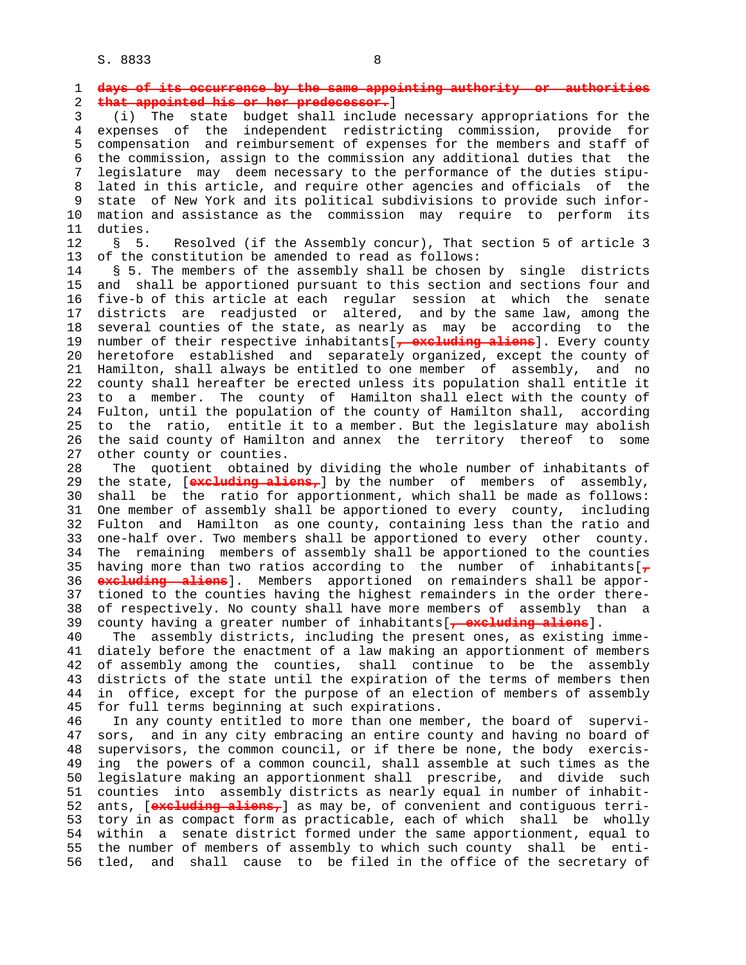1 days of its occurrence by the same appointing authority or 2 **that appointed his or her predecessor.**] 3 (i) The state budget shall include necessary appropriations for the 4 expenses of the independent redistricting commission, provide for 5 compensation and reimbursement of expenses for the members and staff of 6 the commission, assign to the commission any additional duties that the 7 legislature may deem necessary to the performance of the duties stipu- 8 lated in this article, and require other agencies and officials of the 9 state of New York and its political subdivisions to provide such infor- 10 mation and assistance as the commission may require to perform its 11 duties. 12 § 5. Resolved (if the Assembly concur), That section 5 of article 3 13 of the constitution be amended to read as follows: 14 § 5. The members of the assembly shall be chosen by single districts 15 and shall be apportioned pursuant to this section and sections four and 16 five-b of this article at each regular session at which the senate 17 districts are readjusted or altered, and by the same law, among the 18 several counties of the state, as nearly as may be according to the 19 number of their respective inhabitants[**, excluding aliens**]. Every county 20 heretofore established and separately organized, except the county of 21 Hamilton, shall always be entitled to one member of assembly, and no 22 county shall hereafter be erected unless its population shall entitle it 23 to a member. The county of Hamilton shall elect with the county of 24 Fulton, until the population of the county of Hamilton shall, according 25 to the ratio, entitle it to a member. But the legislature may abolish 26 the said county of Hamilton and annex the territory thereof to some 27 other county or counties. 28 The quotient obtained by dividing the whole number of inhabitants of 29 the state, [**excluding aliens,**] by the number of members of assembly, 30 shall be the ratio for apportionment, which shall be made as follows: 31 One member of assembly shall be apportioned to every county, including 32 Fulton and Hamilton as one county, containing less than the ratio and 33 one-half over. Two members shall be apportioned to every other county. 34 The remaining members of assembly shall be apportioned to the counties 35 having more than two ratios according to the number of inhabitants[**,** 36 **excluding aliens**]. Members apportioned on remainders shall be appor- 37 tioned to the counties having the highest remainders in the order there- 38 of respectively. No county shall have more members of assembly than a 39 county having a greater number of inhabitants[**, excluding aliens**]. 40 The assembly districts, including the present ones, as existing imme- 41 diately before the enactment of a law making an apportionment of members 42 of assembly among the counties, shall continue to be the assembly 43 districts of the state until the expiration of the terms of members then 44 in office, except for the purpose of an election of members of assembly 45 for full terms beginning at such expirations. 46 In any county entitled to more than one member, the board of supervi- 47 sors, and in any city embracing an entire county and having no board of 48 supervisors, the common council, or if there be none, the body exercis- 49 ing the powers of a common council, shall assemble at such times as the 50 legislature making an apportionment shall prescribe, and divide such 51 counties into assembly districts as nearly equal in number of inhabit- 52 ants, [**excluding aliens,**] as may be, of convenient and contiguous terri- 53 tory in as compact form as practicable, each of which shall be wholly 54 within a senate district formed under the same apportionment, equal to 55 the number of members of assembly to which such county shall be enti- 56 tled, and shall cause to be filed in the office of the secretary of